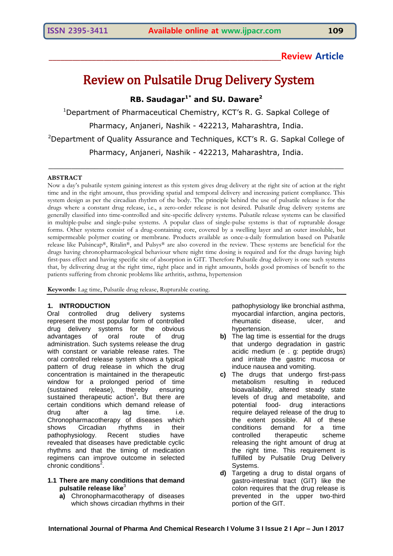# **\_\_\_\_\_\_\_\_\_\_\_\_\_\_\_\_\_\_\_\_\_\_\_\_\_\_\_\_\_\_\_\_\_\_\_\_\_\_\_\_\_\_\_\_\_\_\_\_\_\_\_\_\_\_\_\_\_\_\_Review Article**

# Review on Pulsatile Drug Delivery System

**RB. Saudagar1\* and SU. Daware<sup>2</sup>**

<sup>1</sup>Department of Pharmaceutical Chemistry, KCT's R. G. Sapkal College of Pharmacy, Anjaneri, Nashik - 422213, Maharashtra, India. <sup>2</sup>Department of Quality Assurance and Techniques, KCT's R. G. Sapkal College of Pharmacy, Anjaneri, Nashik - 422213, Maharashtra, India.

\_\_\_\_\_\_\_\_\_\_\_\_\_\_\_\_\_\_\_\_\_\_\_\_\_\_\_\_\_\_\_\_\_\_\_\_\_\_\_\_\_\_\_\_\_\_\_\_\_\_\_\_\_\_\_\_\_\_\_\_\_\_\_\_

# **ABSTRACT**

Now a day's pulsatile system gaining interest as this system gives drug delivery at the right site of action at the right time and in the right amount, thus providing spatial and temporal delivery and increasing patient compliance. This system design as per the circadian rhythm of the body. The principle behind the use of pulsatile release is for the drugs where a constant drug release, i.e., a zero-order release is not desired. Pulsatile drug delivery systems are generally classified into time-controlled and site-specific delivery systems. Pulsatile release systems can be classified in multiple-pulse and single-pulse systems. A popular class of single-pulse systems is that of rupturable dosage forms. Other systems consist of a drug-containing core, covered by a swelling layer and an outer insoluble, but semipermeable polymer coating or membrane. Products available as once-a-daily formulation based on Pulsatile release like Pulsincap®, Ritalin®, and Pulsys® are also covered in the review. These systems are beneficial for the drugs having chronopharmacological behaviour where night time dosing is required and for the drugs having high first-pass effect and having specific site of absorption in GIT. Therefore Pulsatile drug delivery is one such systems that, by delivering drug at the right time, right place and in right amounts, holds good promises of benefit to the patients suffering from chronic problems like arthritis, asthma, hypertension

**Keywords**: Lag time, Pulsatile drug release, Rupturable coating.

# **1. INTRODUCTION**

Oral controlled drug delivery systems represent the most popular form of controlled drug delivery systems for the obvious advantages of oral route of drug administration. Such systems release the drug with constant or variable release rates. The oral controlled release system shows a typical pattern of drug release in which the drug concentration is maintained in the therapeutic window for a prolonged period of time (sustained release), thereby ensuring sustained therapeutic action<sup>1</sup>. But there are certain conditions which demand release of drug after a lag time. i.e. Chronopharmacotherapy of diseases which shows Circadian rhythms in their pathophysiology. Recent studies have revealed that diseases have predictable cyclic rhythms and that the timing of medication regimens can improve outcome in selected chronic conditions<sup>2</sup>.

# **1.1 There are many conditions that demand pulsatile release like**<sup>3</sup>

**a)** Chronopharmacotherapy of diseases which shows circadian rhythms in their pathophysiology like bronchial asthma, myocardial infarction, angina pectoris, rheumatic disease, ulcer, and hypertension.

- **b)** The lag time is essential for the drugs that undergo degradation in gastric acidic medium (e . g: peptide drugs) and irritate the gastric mucosa or induce nausea and vomiting.
- **c)** The drugs that undergo first-pass metabolism resulting in reduced bioavailability, altered steady state levels of drug and metabolite, and potential food- drug interactions require delayed release of the drug to the extent possible. All of these conditions demand for a time controlled therapeutic scheme releasing the right amount of drug at the right time. This requirement is fulfilled by Pulsatile Drug Delivery Systems.
- **d)** Targeting a drug to distal organs of gastro-intestinal tract (GIT) like the colon requires that the drug release is prevented in the upper two-third portion of the GIT.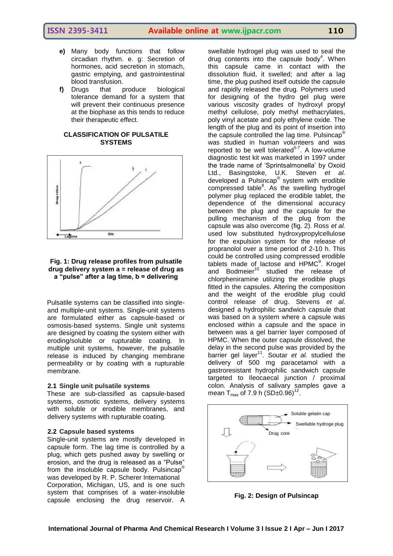- **e)** Many body functions that follow circadian rhythm. e. g: Secretion of hormones, acid secretion in stomach, gastric emptying, and gastrointestinal blood transfusion.
- **f)** Drugs that produce biological tolerance demand for a system that will prevent their continuous presence at the biophase as this tends to reduce their therapeutic effect.

# **CLASSIFICATION OF PULSATILE SYSTEMS**



# **Fig. 1: Drug release profiles from pulsatile drug delivery system a = release of drug as a "pulse" after a lag time, b = delivering**

Pulsatile systems can be classified into singleand multiple-unit systems. Single-unit systems are formulated either as capsule-based or osmosis-based systems. Single unit systems are designed by coating the system either with eroding/soluble or rupturable coating. In multiple unit systems, however, the pulsatile release is induced by changing membrane permeability or by coating with a rupturable membrane.

#### **2.1 Single unit pulsatile systems**

These are sub-classified as capsule-based systems, osmotic systems, delivery systems with soluble or erodible membranes, and delivery systems with rupturable coating.

#### **2.2 Capsule based systems**

Single-unit systems are mostly developed in capsule form. The lag time is controlled by a plug, which gets pushed away by swelling or erosion, and the drug is released as a "Pulse" from the insoluble capsule body. Pulsincap® was developed by R. P. Scherer International Corporation, Michigan, US, and is one such system that comprises of a water-insoluble capsule enclosing the drug reservoir. A

swellable hydrogel plug was used to seal the drug contents into the capsule body<sup>4</sup>. When this capsule came in contact with the dissolution fluid, it swelled; and after a lag time, the plug pushed itself outside the capsule and rapidly released the drug. Polymers used for designing of the hydro gel plug were various viscosity grades of hydroxyl propyl methyl cellulose, poly methyl methacrylates, poly vinyl acetate and poly ethylene oxide. The length of the plug and its point of insertion into the capsule controlled the lag time. Pulsincap® was studied in human volunteers and was reported to be well tolerated $5-7$ . A low-volume diagnostic test kit was marketed in 1997 under the trade name of "Sprintsalmonella" by Oxoid Ltd., Basingstoke, U.K. Steven *et al.* developed a Pulsincap® system with erodible compressed table<sup>8</sup>. As the swelling hydrogel polymer plug replaced the erodible tablet, the dependence of the dimensional accuracy between the plug and the capsule for the pulling mechanism of the plug from the capsule was also overcome (fig. 2). Ross *et al.* used low substituted hydroxypropylcellulose for the expulsion system for the release of propranolol over a time period of 2-10 h. This could be controlled using compressed erodible tablets made of lactose and HPMC<sup>9</sup>. Krogel and Bodmeier<sup>10</sup> studied the release of chlorpheniramine utilizing the erodible plugs fitted in the capsules. Altering the composition and the weight of the erodible plug could control release of drug. Stevens *et al.*  designed a hydrophilic sandwich capsule that was based on a system where a capsule was enclosed within a capsule and the space in between was a gel barrier layer composed of HPMC. When the outer capsule dissolved, the delay in the second pulse was provided by the barrier gel layer<sup>11</sup>. Soutar et al. studied the delivery of 500 mg paracetamol with a gastroresistant hydrophilic sandwich capsule targeted to Ileocaecal junction / proximal colon. Analysis of salivary samples gave a mean T<sub>max</sub> of 7.9 h (SD±0.96)<sup>12</sup>.



**Fig. 2: Design of Pulsincap**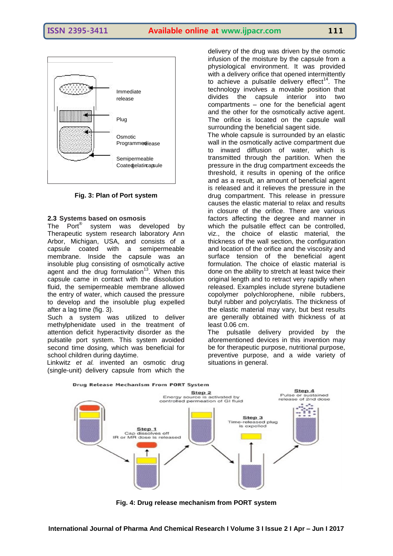

**Fig. 3: Plan of Port system**

# **2.3 Systems based on osmosis**

The Port® system was developed by Therapeutic system research laboratory Ann Arbor, Michigan, USA, and consists of a capsule coated with a semipermeable membrane. Inside the capsule was an insoluble plug consisting of osmotically active agent and the drug formulation<sup>13</sup>. When this capsule came in contact with the dissolution fluid, the semipermeable membrane allowed the entry of water, which caused the pressure to develop and the insoluble plug expelled after a lag time (fig. 3).

Such a system was utilized to deliver methylphenidate used in the treatment of attention deficit hyperactivity disorder as the pulsatile port system. This system avoided second time dosing, which was beneficial for school children during daytime.

Linkwitz *et al.* invented an osmotic drug (single-unit) delivery capsule from which the

delivery of the drug was driven by the osmotic infusion of the moisture by the capsule from a physiological environment. It was provided with a delivery orifice that opened intermittently to achieve a pulsatile delivery effect<sup>14</sup>. The technology involves a movable position that divides the capsule interior into two compartments – one for the beneficial agent and the other for the osmotically active agent. The orifice is located on the capsule wall surrounding the beneficial sagent side.

The whole capsule is surrounded by an elastic wall in the osmotically active compartment due to inward diffusion of water, which is transmitted through the partition. When the pressure in the drug compartment exceeds the threshold, it results in opening of the orifice and as a result, an amount of beneficial agent is released and it relieves the pressure in the drug compartment. This release in pressure causes the elastic material to relax and results in closure of the orifice. There are various factors affecting the degree and manner in which the pulsatile effect can be controlled, viz., the choice of elastic material, the thickness of the wall section, the configuration and location of the orifice and the viscosity and surface tension of the beneficial agent formulation. The choice of elastic material is done on the ability to stretch at least twice their original length and to retract very rapidly when released. Examples include styrene butadiene copolymer polychlorophene, nibile rubbers, butyl rubber and polycrylatis. The thickness of the elastic material may vary, but best results are generally obtained with thickness of at least 0.06 cm.

The pulsatile delivery provided by the aforementioned devices in this invention may be for therapeutic purpose, nutritional purpose, preventive purpose, and a wide variety of situations in general.



**Fig. 4: Drug release mechanism from PORT system**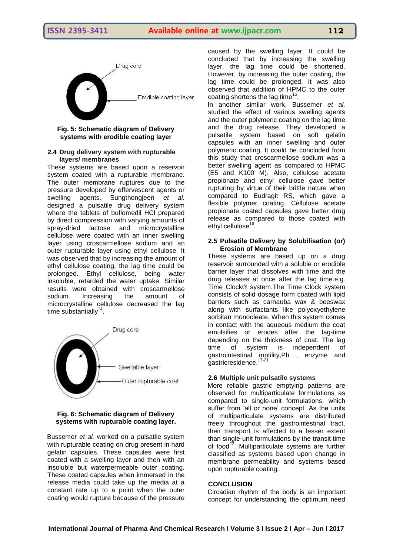

#### **Fig. 5: Schematic diagram of Delivery systems with erodible coating layer**

### **2.4 Drug delivery system with rupturable layers/ membranes**

These systems are based upon a reservoir system coated with a rupturable membrane. The outer membrane ruptures due to the pressure developed by effervescent agents or swelling agents. Sungthongjeen *et al.* designed a pulsatile drug delivery system where the tablets of buflomedil HCl prepared by direct compression with varying amounts of spray-dried lactose and microcrystalline cellulose were coated with an inner swelling layer using croscarmellose sodium and an outer rupturable layer using ethyl cellulose. It was observed that by increasing the amount of ethyl cellulose coating, the lag time could be prolonged. Ethyl cellulose, being water insoluble, retarded the water uptake. Similar results were obtained with croscarmellose sodium. Increasing the amount of microcrystalline cellulose decreased the lag time substantially $14$ .



### **Fig. 6: Schematic diagram of Delivery systems with rupturable coating layer.**

Bussemer *et al.* worked on a pulsatile system with rupturable coating on drug present in hard gelatin capsules. These capsules were first coated with a swelling layer and then with an insoluble but waterpermeable outer coating. These coated capsules when immersed in the release media could take up the media at a constant rate up to a point when the outer coating would rupture because of the pressure

caused by the swelling layer. It could be concluded that by increasing the swelling layer, the lag time could be shortened. However, by increasing the outer coating, the lag time could be prolonged. It was also observed that addition of HPMC to the outer coating shortens the lag time<sup>15</sup>.

In another similar work, Bussemer *et al.*  studied the effect of various swelling agents and the outer polymeric coating on the lag time and the drug release. They developed a pulsatile system based on soft gelatin capsules with an inner swelling and outer polymeric coating. It could be concluded from this study that croscarmellose sodium was a better swelling agent as compared to HPMC (E5 and K100 M). Also, cellulose acetate propionate and ethyl cellulose gave better rupturing by virtue of their brittle nature when compared to Eudragit RS, which gave a flexible polymer coating. Cellulose acetate propionate coated capsules gave better drug release as compared to those coated with ethyl cellulose<sup>16</sup>.

# **2.5 Pulsatile Delivery by Solubilisation (or) Erosion of Membrane**

These systems are based up on a drug reservoir surrounded with a soluble or erodible barrier layer that dissolves with time and the drug releases at once after the lag time.e.g. Time Clock® system.The Time Clock system consists of solid dosage form coated with lipid barriers such as carnauba wax & beeswax along with surfactants like polyoxyethylene sorbitan monooleate. When this system comes in contact with the aqueous medium the coat emulsifies or erodes after the lag-time depending on the thickness of coat. The lag time of system is independent of gastrointestinal motility,Ph , enzyme and gastricresidence.<sup>17-21</sup>

# **2.6 Multiple unit pulsatile systems**

More reliable gastric emptying patterns are observed for multiparticulate formulations as compared to single-unit formulations, which suffer from 'all or none' concept. As the units of multiparticulate systems are distributed freely throughout the gastrointestinal tract, their transport is affected to a lesser extent than single-unit formulations by the transit time of food $^{22}$ . Multiparticulate systems are further classified as systems based upon change in membrane permeability and systems based upon rupturable coating.

# **CONCLUSION**

Circadian rhythm of the body is an important concept for understanding the optimum need